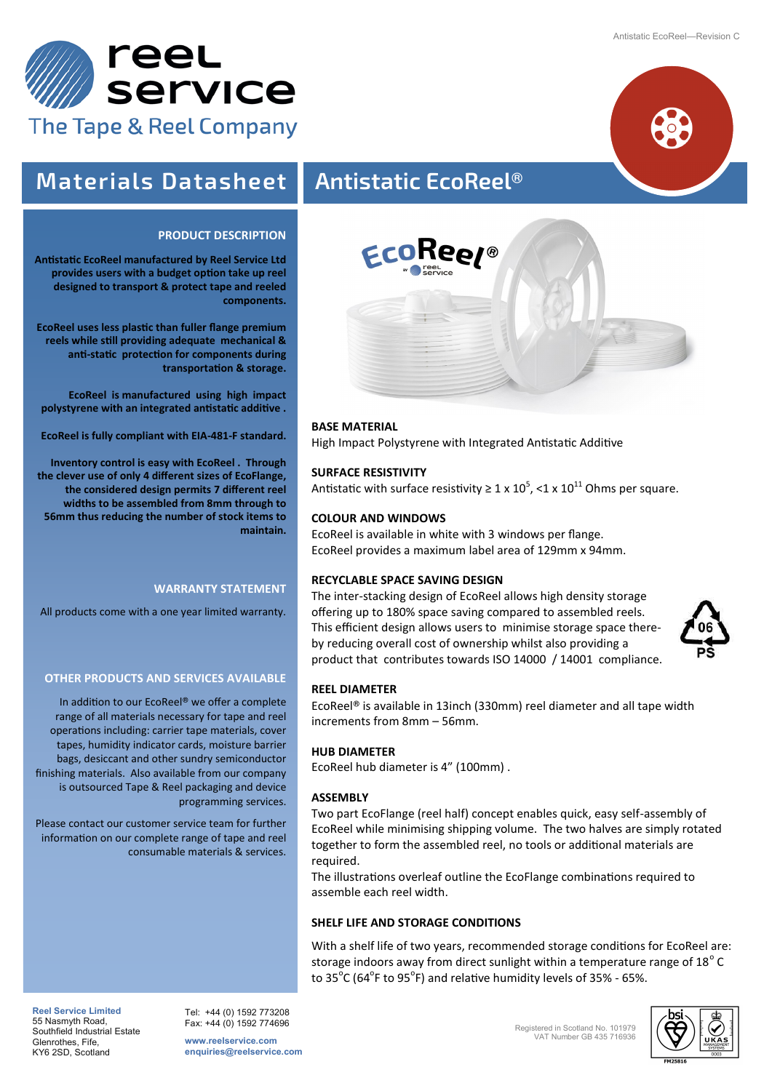



# **Materials Datasheet Antistatic EcoReel®**

# **PRODUCT DESCRIPTION**

**Antistatic EcoReel manufactured by Reel Service Ltd provides users with a budget option take up reel designed to transport & protect tape and reeled components.** 

**EcoReel uses less plastic than fuller flange premium reels while still providing adequate mechanical & anti-static protection for components during transportation & storage.**

**EcoReel is manufactured using high impact polystyrene with an integrated antistatic additive .**

**EcoReel is fully compliant with EIA-481-F standard.** 

**Inventory control is easy with EcoReel . Through the clever use of only 4 different sizes of EcoFlange, the considered design permits 7 different reel widths to be assembled from 8mm through to 56mm thus reducing the number of stock items to maintain.** 

# **WARRANTY STATEMENT**

All products come with a one year limited warranty.

# **OTHER PRODUCTS AND SERVICES AVAILABLE**

In addition to our EcoReel**®** we offer a complete range of all materials necessary for tape and reel operations including: carrier tape materials, cover tapes, humidity indicator cards, moisture barrier bags, desiccant and other sundry semiconductor finishing materials. Also available from our company is outsourced Tape & Reel packaging and device programming services.

Please contact our customer service team for further information on our complete range of tape and reel consumable materials & services.



# **BASE MATERIAL**

High Impact Polystyrene with Integrated Antistatic Additive

## **SURFACE RESISTIVITY**

Antistatic with surface resistivity ≥ 1 x 10<sup>5</sup>, <1 x 10<sup>11</sup> Ohms per square.

# **COLOUR AND WINDOWS**

EcoReel is available in white with 3 windows per flange. EcoReel provides a maximum label area of 129mm x 94mm.

#### **RECYCLABLE SPACE SAVING DESIGN**

The inter-stacking design of EcoReel allows high density storage offering up to 180% space saving compared to assembled reels. This efficient design allows users to minimise storage space thereby reducing overall cost of ownership whilst also providing a product that contributes towards ISO 14000 / 14001 compliance.



#### **REEL DIAMETER**

EcoReel**®** is available in 13inch (330mm) reel diameter and all tape width increments from 8mm – 56mm.

#### **HUB DIAMETER**

EcoReel hub diameter is 4" (100mm) .

#### **ASSEMBLY**

Two part EcoFlange (reel half) concept enables quick, easy self-assembly of EcoReel while minimising shipping volume. The two halves are simply rotated together to form the assembled reel, no tools or additional materials are required.

The illustrations overleaf outline the EcoFlange combinations required to assemble each reel width.

#### **SHELF LIFE AND STORAGE CONDITIONS**

With a shelf life of two years, recommended storage conditions for EcoReel are: storage indoors away from direct sunlight within a temperature range of 18 $^{\circ}$  C to 35<sup>o</sup>C (64<sup>o</sup>F to 95<sup>o</sup>F) and relative humidity levels of 35% - 65%.



**Reel Service Limited**  55 Nasmyth Road, Southfield Industrial Estate Glenrothes, Fife, KY6 2SD, Scotland

Tel: +44 (0) 1592 773208 Fax: +44 (0) 1592 774696

**www.reelservice.com enquiries@reelservice.com** Registered in Scotland No. 101979 VAT Number GB 435 716936